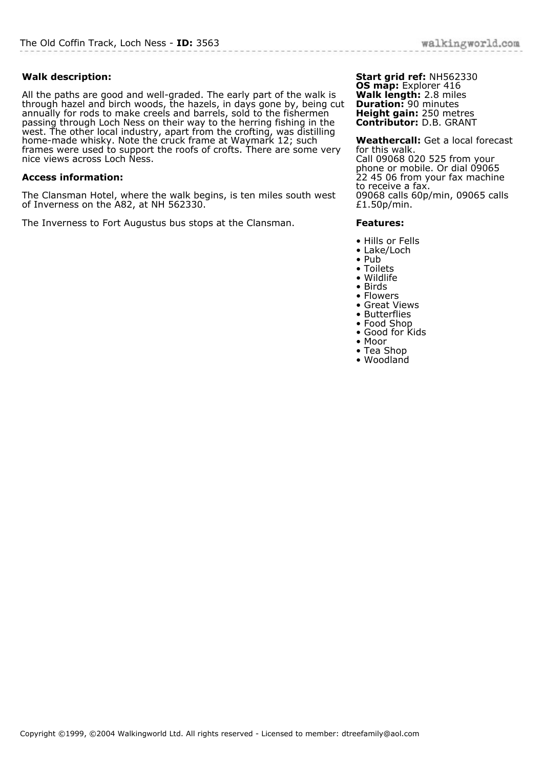## **Walk description:**

All the paths are good and well-graded. The early part of the walk is through hazel and birch woods, the hazels, in days gone by, being cut annually for rods to make creels and barrels, sold to the fishermen passing through Loch Ness on their way to the herring fishing in the west. The other local industry, apart from the crofting, was distilling home-made whisky. Note the cruck frame at Waymark 12; such frames were used to support the roofs of crofts. There are some very nice views across Loch Ness.

## **Access information:**

The Clansman Hotel, where the walk begins, is ten miles south west of Inverness on the A82, at NH 562330.

The Inverness to Fort Augustus bus stops at the Clansman.

**Start grid ref:** NH562330 **OS map:** Explorer 416 **Walk length:** 2.8 miles **Duration:** 90 minutes **Height gain:** 250 metres **Contributor:** D.B. GRANT

**Weathercall:** Get a local forecast for this walk. Call 09068 020 525 from your phone or mobile. Or dial 09065 22 45 06 from your fax machine to receive a fax. 09068 calls 60p/min, 09065 calls £1.50p/min.

## **Features:**

- Hills or Fells
- Lake/Loch
- Pub
- Toilets
- Wildlife • Birds
- 
- Flowers • Great Views
- Butterflies
- Food Shop
- Good for Kids
- Moor
- Tea Shop
- Woodland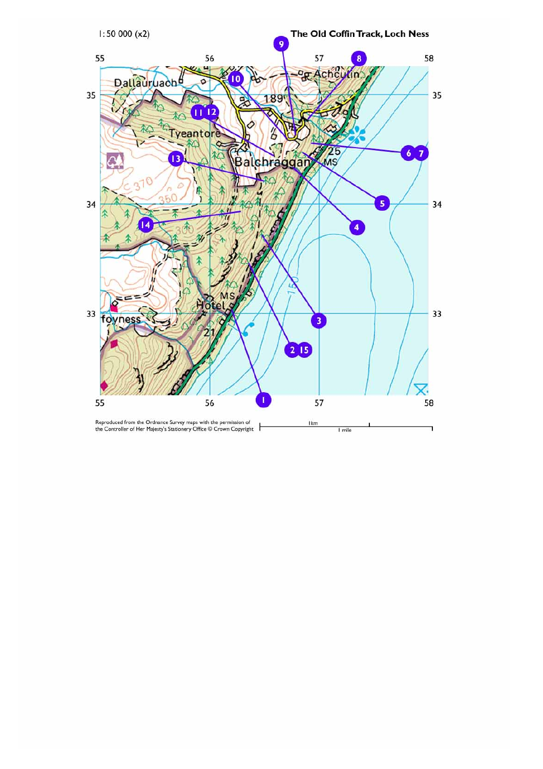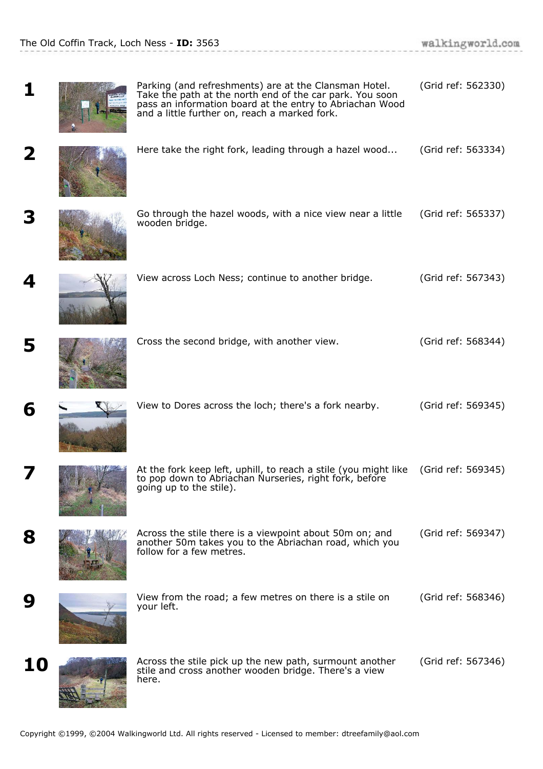.<br>De la Carlo de la Carlo

| 1                       | Parking (and refreshments) are at the Clansman Hotel.<br>Take the path at the north end of the car park. You soon<br>pass an information board at the entry to Abriachan Wood<br>and a little further on, reach a marked fork. | (Grid ref: 562330) |
|-------------------------|--------------------------------------------------------------------------------------------------------------------------------------------------------------------------------------------------------------------------------|--------------------|
| $\overline{\mathbf{2}}$ | Here take the right fork, leading through a hazel wood                                                                                                                                                                         | (Grid ref: 563334) |
| 3                       | Go through the hazel woods, with a nice view near a little<br>wooden bridge.                                                                                                                                                   | (Grid ref: 565337) |
| 4                       | View across Loch Ness; continue to another bridge.                                                                                                                                                                             | (Grid ref: 567343) |
| 5                       | Cross the second bridge, with another view.                                                                                                                                                                                    | (Grid ref: 568344) |
| 6                       | View to Dores across the loch; there's a fork nearby.                                                                                                                                                                          | (Grid ref: 569345) |
| 7                       | At the fork keep left, uphill, to reach a stile (you might like<br>to pop down to Abriachan Nurseries, right fork, before<br>going up to the stile).                                                                           | (Grid ref: 569345) |
| 8                       | Across the stile there is a viewpoint about 50m on; and<br>another 50m takes you to the Abriachan road, which you<br>follow for a few metres.                                                                                  | (Grid ref: 569347) |
| 9                       | View from the road; a few metres on there is a stile on<br>your left.                                                                                                                                                          | (Grid ref: 568346) |
| 10                      | Across the stile pick up the new path, surmount another<br>stile and cross another wooden bridge. There's a view<br>here.                                                                                                      | (Grid ref: 567346) |